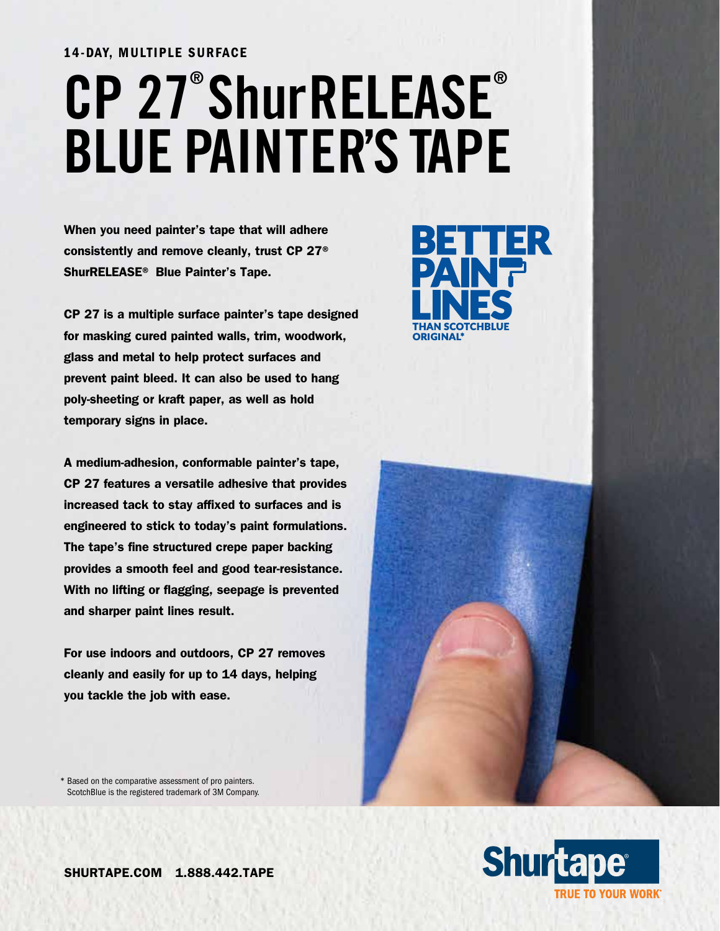# 14-DAY, MULTIPLE SURFACE **CP 27® ShurRELEASE® BLUE PAINTER'S TAPE**

When you need painter's tape that will adhere consistently and remove cleanly, trust CP 27® ShurRELEASE® Blue Painter's Tape.

CP 27 is a multiple surface painter's tape designed for masking cured painted walls, trim, woodwork, glass and metal to help protect surfaces and prevent paint bleed. It can also be used to hang poly-sheeting or kraft paper, as well as hold temporary signs in place.

A medium-adhesion, conformable painter's tape, CP 27 features a versatile adhesive that provides increased tack to stay affixed to surfaces and is engineered to stick to today's paint formulations. The tape's fine structured crepe paper backing provides a smooth feel and good tear-resistance. With no lifting or flagging, seepage is prevented and sharper paint lines result.

For use indoors and outdoors, CP 27 removes cleanly and easily for up to 14 days, helping you tackle the job with ease.





\* Based on the comparative assessment of pro painters. ScotchBlue is the registered trademark of 3M Company.